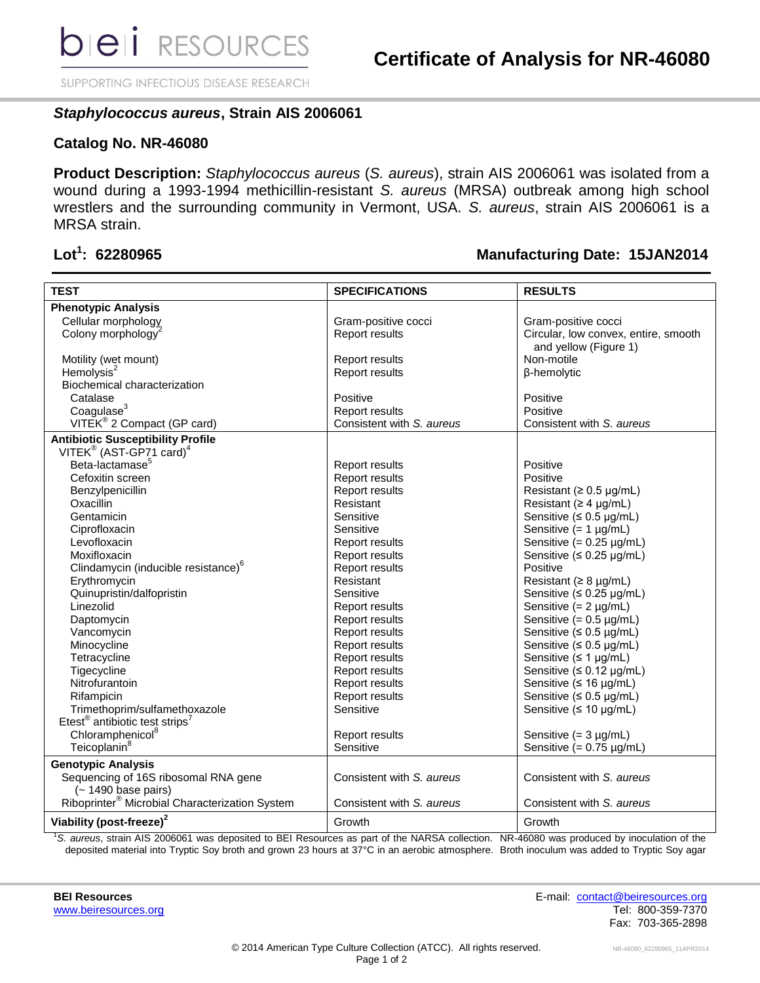SUPPORTING INFECTIOUS DISEASE RESEARCH

## *Staphylococcus aureus***, Strain AIS 2006061**

## **Catalog No. NR-46080**

**Product Description:** *Staphylococcus aureus* (*S. aureus*), strain AIS 2006061 was isolated from a wound during a 1993-1994 methicillin-resistant *S. aureus* (MRSA) outbreak among high school wrestlers and the surrounding community in Vermont, USA. *S. aureus*, strain AIS 2006061 is a MRSA strain.

# Lot<sup>1</sup>: 62280965

## **: 62280965 Manufacturing Date: 15JAN2014**

|                                                            |                           | <b>RESULTS</b>                                                |
|------------------------------------------------------------|---------------------------|---------------------------------------------------------------|
| <b>TEST</b>                                                | <b>SPECIFICATIONS</b>     |                                                               |
| <b>Phenotypic Analysis</b>                                 |                           |                                                               |
| Cellular morphology                                        | Gram-positive cocci       | Gram-positive cocci                                           |
| Colony morphology <sup>2</sup>                             | Report results            | Circular, low convex, entire, smooth<br>and yellow (Figure 1) |
| Motility (wet mount)                                       | <b>Report results</b>     | Non-motile                                                    |
| Hemolysis $2$                                              | Report results            | β-hemolytic                                                   |
| Biochemical characterization                               |                           |                                                               |
| Catalase                                                   | Positive                  | Positive                                                      |
| Coagulase <sup>3</sup>                                     | Report results            | Positive                                                      |
| VITEK® 2 Compact (GP card)                                 | Consistent with S. aureus | Consistent with S. aureus                                     |
| <b>Antibiotic Susceptibility Profile</b>                   |                           |                                                               |
| VITEK® (AST-GP71 card) <sup>4</sup>                        |                           |                                                               |
| Beta-lactamase <sup>5</sup>                                | Report results            | Positive                                                      |
| Cefoxitin screen                                           | Report results            | Positive                                                      |
| Benzylpenicillin                                           | <b>Report results</b>     | Resistant ( $\geq 0.5$ µg/mL)                                 |
| Oxacillin                                                  | Resistant                 | Resistant ( $\geq 4$ µg/mL)                                   |
| Gentamicin                                                 | Sensitive                 | Sensitive ( $\leq 0.5$ µg/mL)                                 |
| Ciprofloxacin                                              | Sensitive                 | Sensitive $(= 1 \mu g/mL)$                                    |
| Levofloxacin                                               | Report results            | Sensitive $(= 0.25 \mu g/mL)$                                 |
| Moxifloxacin                                               | Report results            | Sensitive ( $\leq 0.25$ µg/mL)                                |
| Clindamycin (inducible resistance) <sup>6</sup>            | Report results            | Positive                                                      |
| Erythromycin                                               | Resistant                 | Resistant ( $\geq 8$ µg/mL)                                   |
| Quinupristin/dalfopristin                                  | Sensitive                 | Sensitive ( $\leq 0.25$ µg/mL)                                |
| Linezolid                                                  | Report results            | Sensitive $(= 2 \mu g/mL)$                                    |
| Daptomycin                                                 | Report results            | Sensitive $(= 0.5 \mu g/mL)$                                  |
| Vancomycin                                                 | Report results            | Sensitive ( $\leq 0.5$ µg/mL)                                 |
| Minocycline                                                | Report results            | Sensitive $(5.0.5 \mu g/mL)$                                  |
| Tetracycline                                               | Report results            | Sensitive $( \leq 1$ µg/mL)                                   |
| Tigecycline                                                | <b>Report results</b>     | Sensitive (≤ 0.12 µg/mL)                                      |
| Nitrofurantoin                                             | Report results            | Sensitive ( $\leq 16$ µg/mL)                                  |
| Rifampicin                                                 | Report results            | Sensitive ( $\leq 0.5$ µg/mL)                                 |
| Trimethoprim/sulfamethoxazole                              | Sensitive                 | Sensitive ( $\leq 10$ µg/mL)                                  |
| Etest <sup>®</sup> antibiotic test strips <sup>7</sup>     |                           |                                                               |
| Chloramphenicol <sup>8</sup>                               | Report results            | Sensitive $(= 3 \mu g/mL)$                                    |
| Teicoplanin <sup>8</sup>                                   | Sensitive                 | Sensitive $(= 0.75 \mu g/mL)$                                 |
| <b>Genotypic Analysis</b>                                  |                           |                                                               |
| Sequencing of 16S ribosomal RNA gene                       | Consistent with S. aureus | Consistent with S. aureus                                     |
| $(-1490$ base pairs)                                       |                           |                                                               |
| Riboprinter <sup>®</sup> Microbial Characterization System | Consistent with S. aureus | Consistent with S. aureus                                     |
| Viability (post-freeze) <sup>2</sup>                       | Growth                    | Growth                                                        |

<sup>1</sup>*S. aureus*, strain AIS 2006061 was deposited to BEI Resources as part of the NARSA collection. NR-46080 was produced by inoculation of the deposited material into Tryptic Soy broth and grown 23 hours at 37°C in an aerobic atmosphere. Broth inoculum was added to Tryptic Soy agar

**BEI Resources** E-mail: [contact@beiresources.org](mailto:contact@beiresources.org) [www.beiresources.org](http://www.beiresources.org/) **Tel: 800-359-7370** Fax: 703-365-2898